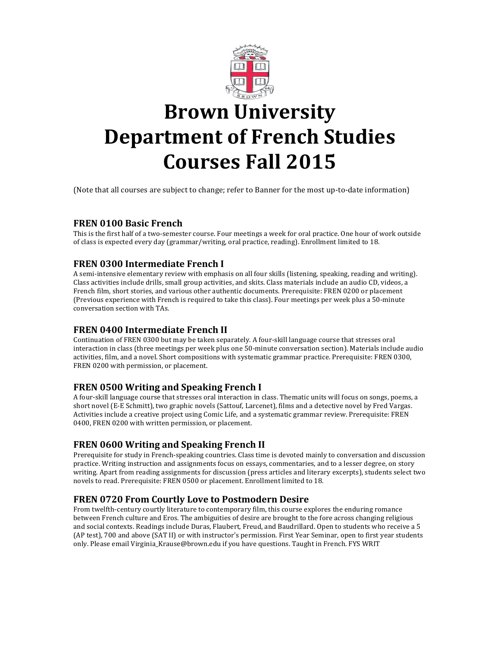

# **Brown University Department of French Studies Courses Fall 2015**

(Note that all courses are subject to change; refer to Banner for the most up-to-date information)

# **FREN 0100 Basic French**

This is the first half of a two-semester course. Four meetings a week for oral practice. One hour of work outside of class is expected every day (grammar/writing, oral practice, reading). Enrollment limited to 18.

# **FREN 0300 Intermediate French I**

A semi-intensive elementary review with emphasis on all four skills (listening, speaking, reading and writing). Class activities include drills, small group activities, and skits. Class materials include an audio CD, videos, a French film, short stories, and various other authentic documents. Prerequisite: FREN 0200 or placement (Previous experience with French is required to take this class). Four meetings per week plus a 50-minute conversation section with TAs.

# **FREN 0400 Intermediate French II**

Continuation of FREN 0300 but may be taken separately. A four-skill language course that stresses oral interaction in class (three meetings per week plus one 50-minute conversation section). Materials include audio activities, film, and a novel. Short compositions with systematic grammar practice. Prerequisite: FREN 0300, FREN 0200 with permission, or placement.

# **FREN 0500 Writing and Speaking French I**

A four-skill language course that stresses oral interaction in class. Thematic units will focus on songs, poems, a short novel (E-E Schmitt), two graphic novels (Sattouf, Larcenet), films and a detective novel by Fred Vargas. Activities include a creative project using Comic Life, and a systematic grammar review. Prerequisite: FREN 0400, FREN 0200 with written permission, or placement.

# **FREN 0600 Writing and Speaking French II**

Prerequisite for study in French-speaking countries. Class time is devoted mainly to conversation and discussion practice. Writing instruction and assignments focus on essays, commentaries, and to a lesser degree, on story writing. Apart from reading assignments for discussion (press articles and literary excerpts), students select two novels to read. Prerequisite: FREN 0500 or placement. Enrollment limited to 18.

# **FREN 0720 From Courtly Love to Postmodern Desire**

From twelfth-century courtly literature to contemporary film, this course explores the enduring romance between French culture and Eros. The ambiguities of desire are brought to the fore across changing religious and social contexts. Readings include Duras, Flaubert, Freud, and Baudrillard. Open to students who receive a 5 (AP test), 700 and above (SAT II) or with instructor's permission. First Year Seminar, open to first year students only. Please email Virginia\_Krause@brown.edu if you have questions. Taught in French. FYS WRIT